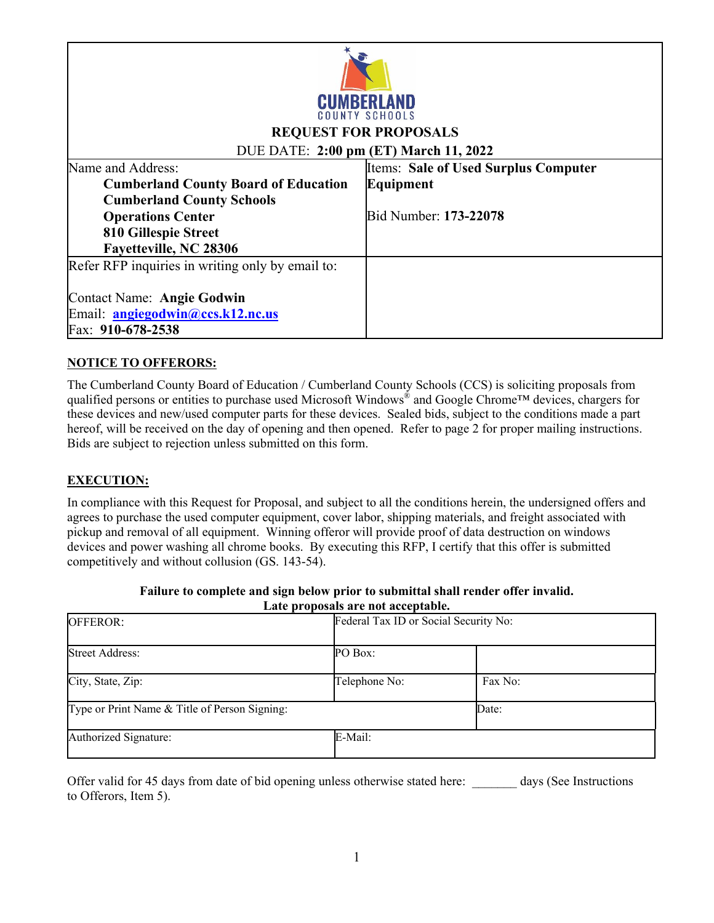

### **REQUEST FOR PROPOSALS**

### DUE DATE: **2:00 pm (ET) March 11, 2022**

| Name and Address:                                | <b>Iltems: Sale of Used Surplus Computer</b> |
|--------------------------------------------------|----------------------------------------------|
| <b>Cumberland County Board of Education</b>      | Equipment                                    |
| <b>Cumberland County Schools</b>                 |                                              |
| <b>Operations Center</b>                         | Bid Number: 173-22078                        |
| 810 Gillespie Street                             |                                              |
| Fayetteville, NC 28306                           |                                              |
| Refer RFP inquiries in writing only by email to: |                                              |
|                                                  |                                              |
| Contact Name: Angie Godwin                       |                                              |
| Email: <b>angiegodwin@ccs.k12.nc.us</b>          |                                              |
| Fax: 910-678-2538                                |                                              |

#### **NOTICE TO OFFERORS:**

The Cumberland County Board of Education / Cumberland County Schools (CCS) is soliciting proposals from qualified persons or entities to purchase used Microsoft Windows® and Google Chrome™ devices, chargers for these devices and new/used computer parts for these devices. Sealed bids, subject to the conditions made a part hereof, will be received on the day of opening and then opened. Refer to page 2 for proper mailing instructions. Bids are subject to rejection unless submitted on this form.

#### **EXECUTION:**

In compliance with this Request for Proposal, and subject to all the conditions herein, the undersigned offers and agrees to purchase the used computer equipment, cover labor, shipping materials, and freight associated with pickup and removal of all equipment. Winning offeror will provide proof of data destruction on windows devices and power washing all chrome books. By executing this RFP, I certify that this offer is submitted competitively and without collusion (GS. 143-54).

|                                               | Late proposals are not acceptable. |                                       |  |
|-----------------------------------------------|------------------------------------|---------------------------------------|--|
| <b>OFFEROR:</b>                               |                                    | Federal Tax ID or Social Security No: |  |
|                                               |                                    |                                       |  |
| <b>Street Address:</b>                        | PO Box:                            |                                       |  |
|                                               |                                    |                                       |  |
| City, State, Zip:                             | Telephone No:                      | Fax No:                               |  |
|                                               |                                    |                                       |  |
| Type or Print Name & Title of Person Signing: |                                    | Date:                                 |  |
|                                               |                                    |                                       |  |
| Authorized Signature:                         | E-Mail:                            |                                       |  |
|                                               |                                    |                                       |  |

#### **Failure to complete and sign below prior to submittal shall render offer invalid. Late proposals are not acceptable.**

Offer valid for 45 days from date of bid opening unless otherwise stated here: days (See Instructions to Offerors, Item 5).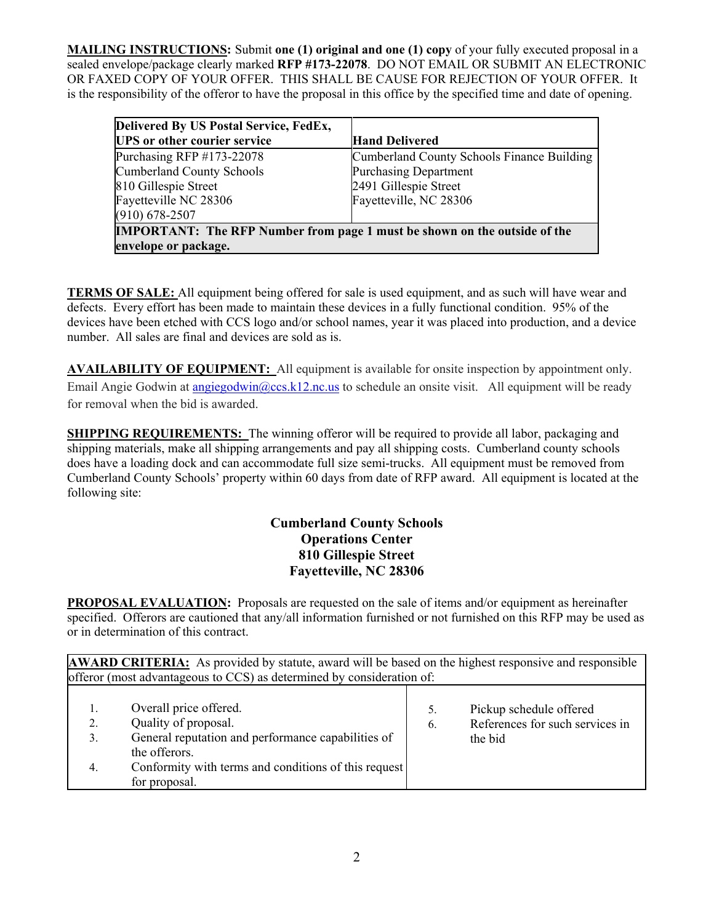**MAILING INSTRUCTIONS:** Submit **one (1) original and one (1) copy** of your fully executed proposal in a sealed envelope/package clearly marked **RFP #173-22078**. DO NOT EMAIL OR SUBMIT AN ELECTRONIC OR FAXED COPY OF YOUR OFFER. THIS SHALL BE CAUSE FOR REJECTION OF YOUR OFFER. It is the responsibility of the offeror to have the proposal in this office by the specified time and date of opening.

| Delivered By US Postal Service, FedEx,                                           |                                            |  |  |  |  |
|----------------------------------------------------------------------------------|--------------------------------------------|--|--|--|--|
| <b>UPS</b> or other courier service                                              | <b>Hand Delivered</b>                      |  |  |  |  |
| Purchasing RFP #173-22078                                                        | Cumberland County Schools Finance Building |  |  |  |  |
| <b>Cumberland County Schools</b>                                                 | <b>Purchasing Department</b>               |  |  |  |  |
| 810 Gillespie Street                                                             | 2491 Gillespie Street                      |  |  |  |  |
| Fayetteville NC 28306                                                            | Fayetteville, NC 28306                     |  |  |  |  |
| $(910) 678 - 2507$                                                               |                                            |  |  |  |  |
| <b>IMPORTANT:</b> The RFP Number from page 1 must be shown on the outside of the |                                            |  |  |  |  |
| envelope or package.                                                             |                                            |  |  |  |  |

**TERMS OF SALE:** All equipment being offered for sale is used equipment, and as such will have wear and defects. Every effort has been made to maintain these devices in a fully functional condition. 95% of the devices have been etched with CCS logo and/or school names, year it was placed into production, and a device number. All sales are final and devices are sold as is.

**AVAILABILITY OF EQUIPMENT:** All equipment is available for onsite inspection by appointment only. Email Angie Godwin at angiegodwin@ccs.k12.nc.us to schedule an onsite visit. All equipment will be ready for removal when the bid is awarded.

**SHIPPING REQUIREMENTS:** The winning offeror will be required to provide all labor, packaging and shipping materials, make all shipping arrangements and pay all shipping costs. Cumberland county schools does have a loading dock and can accommodate full size semi-trucks. All equipment must be removed from Cumberland County Schools' property within 60 days from date of RFP award. All equipment is located at the following site:

## **Cumberland County Schools Operations Center 810 Gillespie Street Fayetteville, NC 28306**

**PROPOSAL EVALUATION:** Proposals are requested on the sale of items and/or equipment as hereinafter specified. Offerors are cautioned that any/all information furnished or not furnished on this RFP may be used as or in determination of this contract.

**AWARD CRITERIA:** As provided by statute, award will be based on the highest responsive and responsible offeror (most advantageous to CCS) as determined by consideration of:

| 1.<br>2.<br>3. | Overall price offered.<br>Quality of proposal.<br>General reputation and performance capabilities of<br>the offerors. | 6. | Pickup schedule offered<br>References for such services in<br>the bid |
|----------------|-----------------------------------------------------------------------------------------------------------------------|----|-----------------------------------------------------------------------|
| 4.             | Conformity with terms and conditions of this request<br>for proposal.                                                 |    |                                                                       |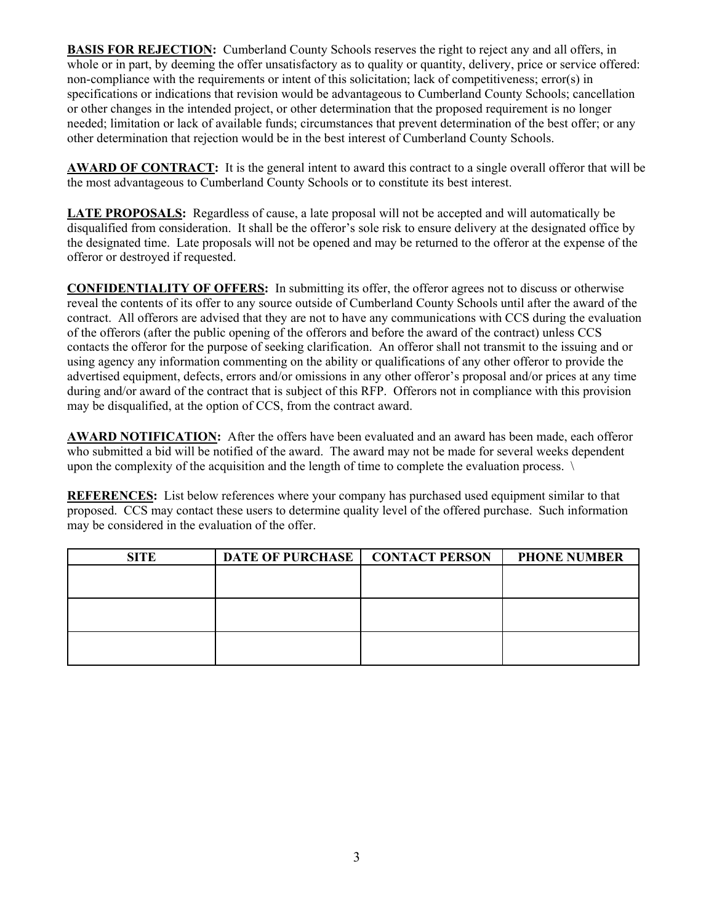**BASIS FOR REJECTION:** Cumberland County Schools reserves the right to reject any and all offers, in whole or in part, by deeming the offer unsatisfactory as to quality or quantity, delivery, price or service offered: non-compliance with the requirements or intent of this solicitation; lack of competitiveness; error(s) in specifications or indications that revision would be advantageous to Cumberland County Schools; cancellation or other changes in the intended project, or other determination that the proposed requirement is no longer needed; limitation or lack of available funds; circumstances that prevent determination of the best offer; or any other determination that rejection would be in the best interest of Cumberland County Schools.

**AWARD OF CONTRACT:** It is the general intent to award this contract to a single overall offeror that will be the most advantageous to Cumberland County Schools or to constitute its best interest.

**LATE PROPOSALS:** Regardless of cause, a late proposal will not be accepted and will automatically be disqualified from consideration. It shall be the offeror's sole risk to ensure delivery at the designated office by the designated time. Late proposals will not be opened and may be returned to the offeror at the expense of the offeror or destroyed if requested.

**CONFIDENTIALITY OF OFFERS:** In submitting its offer, the offeror agrees not to discuss or otherwise reveal the contents of its offer to any source outside of Cumberland County Schools until after the award of the contract. All offerors are advised that they are not to have any communications with CCS during the evaluation of the offerors (after the public opening of the offerors and before the award of the contract) unless CCS contacts the offeror for the purpose of seeking clarification. An offeror shall not transmit to the issuing and or using agency any information commenting on the ability or qualifications of any other offeror to provide the advertised equipment, defects, errors and/or omissions in any other offeror's proposal and/or prices at any time during and/or award of the contract that is subject of this RFP. Offerors not in compliance with this provision may be disqualified, at the option of CCS, from the contract award.

AWARD NOTIFICATION: After the offers have been evaluated and an award has been made, each offeror who submitted a bid will be notified of the award. The award may not be made for several weeks dependent upon the complexity of the acquisition and the length of time to complete the evaluation process.  $\setminus$ 

**REFERENCES:** List below references where your company has purchased used equipment similar to that proposed. CCS may contact these users to determine quality level of the offered purchase. Such information may be considered in the evaluation of the offer.

| <b>SITE</b> | DATE OF PURCHASE   CONTACT PERSON | <b>PHONE NUMBER</b> |
|-------------|-----------------------------------|---------------------|
|             |                                   |                     |
|             |                                   |                     |
|             |                                   |                     |
|             |                                   |                     |
|             |                                   |                     |
|             |                                   |                     |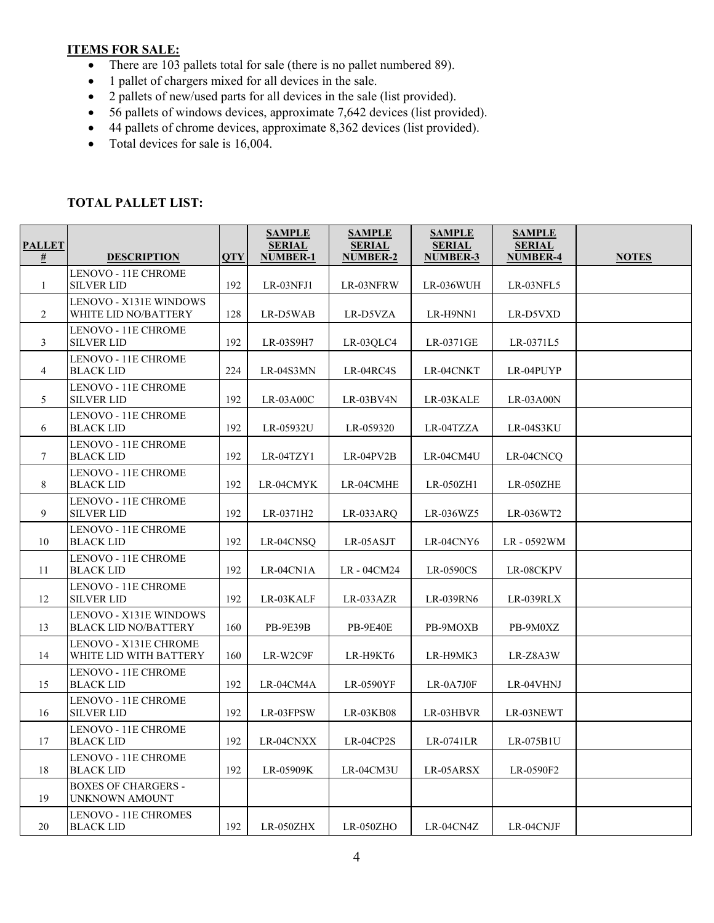#### **ITEMS FOR SALE:**

- There are 103 pallets total for sale (there is no pallet numbered 89).
- 1 pallet of chargers mixed for all devices in the sale.
- 2 pallets of new/used parts for all devices in the sale (list provided).
- 56 pallets of windows devices, approximate 7,642 devices (list provided).
- 44 pallets of chrome devices, approximate 8,362 devices (list provided).
- Total devices for sale is 16,004.

#### **TOTAL PALLET LIST:**

| <b>PALLET</b>                        |                                                       |                         | <b>SAMPLE</b><br><b>SERIAL</b> | <b>SAMPLE</b><br><b>SERIAL</b> | <b>SAMPLE</b><br><b>SERIAL</b> | <b>SAMPLE</b><br><b>SERIAL</b> |              |
|--------------------------------------|-------------------------------------------------------|-------------------------|--------------------------------|--------------------------------|--------------------------------|--------------------------------|--------------|
| $\overline{\underline{\textbf{\#}}}$ | <b>DESCRIPTION</b>                                    | $\overline{\text{OTY}}$ | <b>NUMBER-1</b>                | <b>NUMBER-2</b>                | <b>NUMBER-3</b>                | <b>NUMBER-4</b>                | <b>NOTES</b> |
| 1                                    | LENOVO - 11E CHROME<br><b>SILVER LID</b>              | 192                     | LR-03NFJ1                      | LR-03NFRW                      | LR-036WUH                      | LR-03NFL5                      |              |
| 2                                    | <b>LENOVO - X131E WINDOWS</b><br>WHITE LID NO/BATTERY | 128                     | LR-D5WAB                       | LR-D5VZA                       | LR-H9NN1                       | LR-D5VXD                       |              |
| 3                                    | LENOVO - 11E CHROME<br><b>SILVER LID</b>              | 192                     | LR-03S9H7                      | LR-03QLC4                      | LR-0371GE                      | LR-0371L5                      |              |
| $\overline{4}$                       | LENOVO - 11E CHROME<br><b>BLACK LID</b>               | 224                     | LR-04S3MN                      | LR-04RC4S                      | LR-04CNKT                      | LR-04PUYP                      |              |
| 5                                    | LENOVO - 11E CHROME<br><b>SILVER LID</b>              | 192                     | $LR-03A00C$                    | LR-03BV4N                      | LR-03KALE                      | LR-03A00N                      |              |
| 6                                    | LENOVO - 11E CHROME<br><b>BLACK LID</b>               | 192                     | LR-05932U                      | LR-059320                      | LR-04TZZA                      | LR-04S3KU                      |              |
| $\tau$                               | LENOVO - 11E CHROME<br><b>BLACK LID</b>               | 192                     | LR-04TZY1                      | LR-04PV2B                      | LR-04CM4U                      | LR-04CNCQ                      |              |
| 8                                    | LENOVO - 11E CHROME<br><b>BLACK LID</b>               | 192                     | LR-04CMYK                      | LR-04CMHE                      | LR-050ZH1                      | LR-050ZHE                      |              |
| 9                                    | LENOVO - 11E CHROME<br><b>SILVER LID</b>              | 192                     | LR-0371H2                      | LR-033ARQ                      | LR-036WZ5                      | LR-036WT2                      |              |
| 10                                   | LENOVO - 11E CHROME<br><b>BLACK LID</b>               | 192                     | LR-04CNSQ                      | LR-05ASJT                      | LR-04CNY6                      | LR-0592WM                      |              |
| 11                                   | LENOVO - 11E CHROME<br><b>BLACK LID</b>               | 192                     | LR-04CN1A                      | LR-04CM24                      | LR-0590CS                      | LR-08CKPV                      |              |
| 12                                   | LENOVO - 11E CHROME<br><b>SILVER LID</b>              | 192                     | LR-03KALF                      | LR-033AZR                      | LR-039RN6                      | LR-039RLX                      |              |
| 13                                   | LENOVO - X131E WINDOWS<br><b>BLACK LID NO/BATTERY</b> | 160                     | <b>PB-9E39B</b>                | <b>PB-9E40E</b>                | PB-9MOXB                       | PB-9M0XZ                       |              |
| 14                                   | LENOVO - X131E CHROME<br>WHITE LID WITH BATTERY       | 160                     | LR-W2C9F                       | LR-H9KT6                       | LR-H9MK3                       | LR-Z8A3W                       |              |
| 15                                   | LENOVO - 11E CHROME<br><b>BLACK LID</b>               | 192                     | LR-04CM4A                      | LR-0590YF                      | $LR$ -0A7J0F                   | LR-04VHNJ                      |              |
| 16                                   | LENOVO - 11E CHROME<br><b>SILVER LID</b>              | 192                     | LR-03FPSW                      | LR-03KB08                      | LR-03HBVR                      | LR-03NEWT                      |              |
| 17                                   | LENOVO - 11E CHROME<br><b>BLACK LID</b>               | 192                     | LR-04CNXX                      | LR-04CP2S                      | LR-0741LR                      | $LR-075B1U$                    |              |
| 18                                   | LENOVO - 11E CHROME<br><b>BLACK LID</b>               | 192                     | LR-05909K                      | LR-04CM3U                      | LR-05ARSX                      | LR-0590F2                      |              |
| 19                                   | <b>BOXES OF CHARGERS -</b><br>UNKNOWN AMOUNT          |                         |                                |                                |                                |                                |              |
| 20                                   | LENOVO - 11E CHROMES<br><b>BLACK LID</b>              | 192                     | LR-050ZHX                      | LR-050ZHO                      | LR-04CN4Z                      | LR-04CNJF                      |              |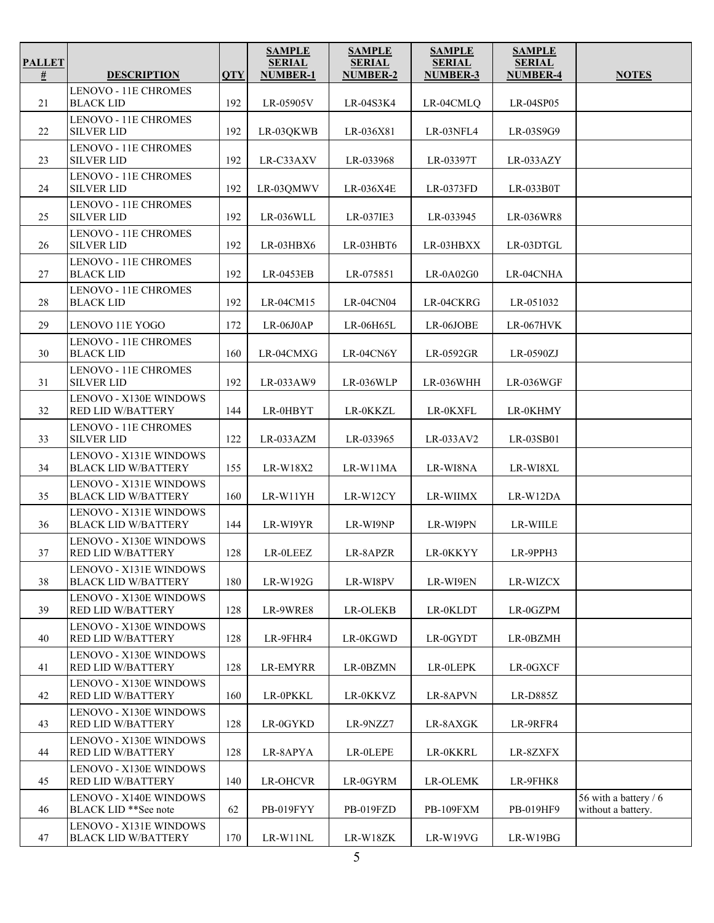| <b>PALLET</b><br>$\frac{\mu}{2}$ | <b>DESCRIPTION</b>                                         | <b>QTY</b> | <b>SAMPLE</b><br><b>SERIAL</b><br><b>NUMBER-1</b> | <b>SAMPLE</b><br><b>SERIAL</b><br>NUMBER-2 | <b>SAMPLE</b><br><b>SERIAL</b><br>NUMBER-3 | <b>SAMPLE</b><br><b>SERIAL</b><br><b>NUMBER-4</b> | <b>NOTES</b>                                |
|----------------------------------|------------------------------------------------------------|------------|---------------------------------------------------|--------------------------------------------|--------------------------------------------|---------------------------------------------------|---------------------------------------------|
|                                  | <b>LENOVO - 11E CHROMES</b>                                |            |                                                   |                                            |                                            |                                                   |                                             |
| 21                               | <b>BLACK LID</b>                                           | 192        | LR-05905V                                         | LR-04S3K4                                  | LR-04CMLQ                                  | LR-04SP05                                         |                                             |
| 22                               | LENOVO - 11E CHROMES<br><b>SILVER LID</b>                  | 192        | LR-03QKWB                                         | LR-036X81                                  | LR-03NFL4                                  | LR-03S9G9                                         |                                             |
| 23                               | LENOVO - 11E CHROMES<br><b>SILVER LID</b>                  | 192        | LR-C33AXV                                         | LR-033968                                  | LR-03397T                                  | LR-033AZY                                         |                                             |
| 24                               | LENOVO - 11E CHROMES<br><b>SILVER LID</b>                  | 192        | LR-03QMWV                                         | LR-036X4E                                  | LR-0373FD                                  | LR-033B0T                                         |                                             |
| 25                               | LENOVO - 11E CHROMES<br><b>SILVER LID</b>                  | 192        | LR-036WLL                                         | LR-037IE3                                  | LR-033945                                  | LR-036WR8                                         |                                             |
| 26                               | LENOVO - 11E CHROMES<br><b>SILVER LID</b>                  | 192        | LR-03HBX6                                         | LR-03HBT6                                  | LR-03HBXX                                  | LR-03DTGL                                         |                                             |
| 27                               | LENOVO - 11E CHROMES<br><b>BLACK LID</b>                   | 192        | LR-0453EB                                         | LR-075851                                  | $LR-0A02G0$                                | LR-04CNHA                                         |                                             |
| 28                               | <b>LENOVO - 11E CHROMES</b><br><b>BLACK LID</b>            | 192        | LR-04CM15                                         | <b>LR-04CN04</b>                           | LR-04CKRG                                  | LR-051032                                         |                                             |
| 29                               | LENOVO 11E YOGO                                            | 172        | $LR-06J0AP$                                       | LR-06H65L                                  | LR-06JOBE                                  | <b>LR-067HVK</b>                                  |                                             |
| 30                               | LENOVO - 11E CHROMES<br><b>BLACK LID</b>                   | 160        | LR-04CMXG                                         | LR-04CN6Y                                  | LR-0592GR                                  | LR-0590ZJ                                         |                                             |
| 31                               | LENOVO - 11E CHROMES<br><b>SILVER LID</b>                  | 192        | LR-033AW9                                         | LR-036WLP                                  | LR-036WHH                                  | LR-036WGF                                         |                                             |
| 32                               | LENOVO - X130E WINDOWS<br>RED LID W/BATTERY                | 144        | LR-0HBYT                                          | LR-0KKZL                                   | LR-0KXFL                                   | LR-0KHMY                                          |                                             |
| 33                               | LENOVO - 11E CHROMES<br><b>SILVER LID</b>                  | 122        | LR-033AZM                                         | LR-033965                                  | LR-033AV2                                  | LR-03SB01                                         |                                             |
| 34                               | LENOVO - X131E WINDOWS<br><b>BLACK LID W/BATTERY</b>       | 155        | LR-W18X2                                          | LR-W11MA                                   | LR-WI8NA                                   | LR-WI8XL                                          |                                             |
| 35                               | LENOVO - X131E WINDOWS<br><b>BLACK LID W/BATTERY</b>       | 160        | LR-W11YH                                          | LR-W12CY                                   | <b>LR-WIIMX</b>                            | LR-W12DA                                          |                                             |
| 36                               | LENOVO - X131E WINDOWS<br><b>BLACK LID W/BATTERY</b>       | 144        | LR-WI9YR                                          | LR-WI9NP                                   | LR-WI9PN                                   | LR-WIILE                                          |                                             |
| 37                               | LENOVO - X130E WINDOWS<br><b>RED LID W/BATTERY</b>         | 128        | LR-0LEEZ                                          | LR-8APZR                                   | LR-0KKYY                                   | LR-9PPH3                                          |                                             |
| 38                               | LENOVO - X131E WINDOWS<br><b>BLACK LID W/BATTERY</b>       | 180        | LR-W192G                                          | LR-WI8PV                                   | LR-WI9EN                                   | LR-WIZCX                                          |                                             |
| 39                               | LENOVO - X130E WINDOWS<br><b>RED LID W/BATTERY</b>         | 128        | LR-9WRE8                                          | <b>LR-OLEKB</b>                            | LR-0KLDT                                   | LR-0GZPM                                          |                                             |
| 40                               | <b>LENOVO - X130E WINDOWS</b><br><b>RED LID W/BATTERY</b>  | 128        | LR-9FHR4                                          | LR-0KGWD                                   | LR-0GYDT                                   | LR-0BZMH                                          |                                             |
| 41                               | LENOVO - X130E WINDOWS<br>RED LID W/BATTERY                | 128        | LR-EMYRR                                          | LR-0BZMN                                   | LR-0LEPK                                   | LR-0GXCF                                          |                                             |
| 42                               | LENOVO - X130E WINDOWS<br><b>RED LID W/BATTERY</b>         | 160        | LR-0PKKL                                          | LR-0KKVZ                                   | LR-8APVN                                   | LR-D885Z                                          |                                             |
| 43                               | LENOVO - X130E WINDOWS<br>RED LID W/BATTERY                | 128        | LR-0GYKD                                          | LR-9NZZ7                                   | LR-8AXGK                                   | LR-9RFR4                                          |                                             |
| 44                               | LENOVO - X130E WINDOWS<br><b>RED LID W/BATTERY</b>         | 128        | LR-8APYA                                          | LR-OLEPE                                   | LR-0KKRL                                   | LR-8ZXFX                                          |                                             |
| 45                               | LENOVO - X130E WINDOWS<br>RED LID W/BATTERY                | 140        | LR-OHCVR                                          | LR-0GYRM                                   | <b>LR-OLEMK</b>                            | LR-9FHK8                                          |                                             |
| 46                               | LENOVO - X140E WINDOWS<br>BLACK LID <sup>**</sup> See note | 62         | PB-019FYY                                         | PB-019FZD                                  | PB-109FXM                                  | PB-019HF9                                         | 56 with a battery / 6<br>without a battery. |
| 47                               | LENOVO - X131E WINDOWS<br><b>BLACK LID W/BATTERY</b>       | 170        | LR-W11NL                                          | LR-W18ZK                                   | LR-W19VG                                   | LR-W19BG                                          |                                             |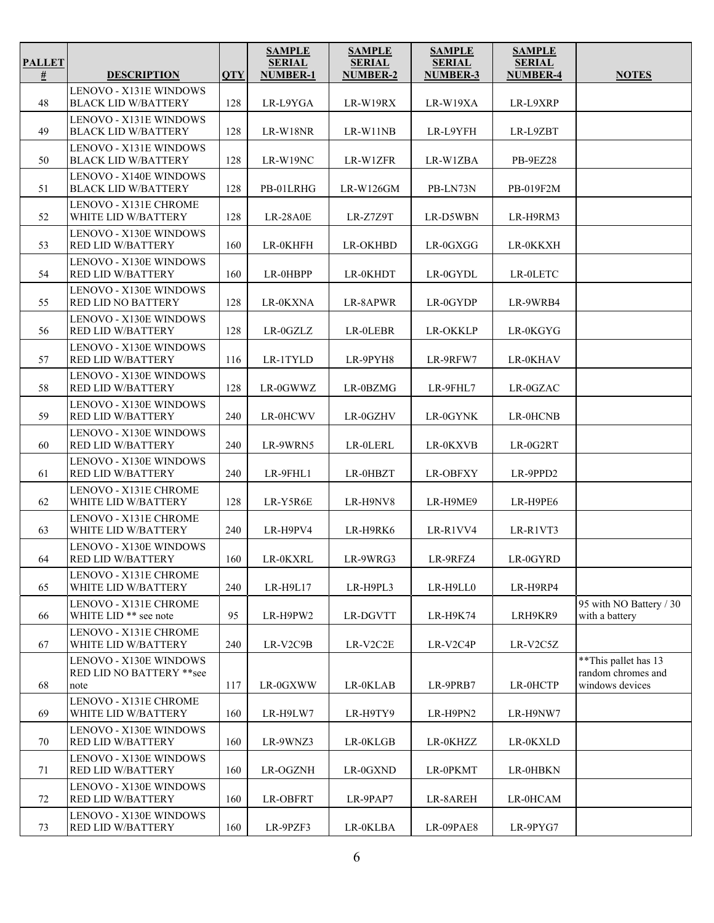| <b>PALLET</b><br>$\overline{\underline{\textbf{\#}}}$ | <b>DESCRIPTION</b>                                                            | <b>QTY</b> | <b>SAMPLE</b><br><b>SERIAL</b><br><b>NUMBER-1</b> | <b>SAMPLE</b><br><b>SERIAL</b><br>NUMBER-2 | <b>SAMPLE</b><br><b>SERIAL</b><br><b>NUMBER-3</b> | <b>SAMPLE</b><br><b>SERIAL</b><br><b>NUMBER-4</b> | <b>NOTES</b>                              |
|-------------------------------------------------------|-------------------------------------------------------------------------------|------------|---------------------------------------------------|--------------------------------------------|---------------------------------------------------|---------------------------------------------------|-------------------------------------------|
|                                                       |                                                                               |            |                                                   |                                            |                                                   |                                                   |                                           |
| 48                                                    | LENOVO - X131E WINDOWS<br><b>BLACK LID W/BATTERY</b>                          | 128        | LR-L9YGA                                          | LR-W19RX                                   | LR-W19XA                                          | LR-L9XRP                                          |                                           |
| 49                                                    | LENOVO - X131E WINDOWS<br><b>BLACK LID W/BATTERY</b>                          | 128        | LR-W18NR                                          | LR-W11NB                                   | LR-L9YFH                                          | LR-L9ZBT                                          |                                           |
| 50                                                    | LENOVO - X131E WINDOWS<br><b>BLACK LID W/BATTERY</b>                          | 128        | LR-W19NC                                          | LR-W1ZFR                                   | LR-W1ZBA                                          | PB-9EZ28                                          |                                           |
| 51                                                    | LENOVO - X140E WINDOWS<br><b>BLACK LID W/BATTERY</b>                          | 128        | PB-01LRHG                                         | $LR-W126GM$                                | PB-LN73N                                          | PB-019F2M                                         |                                           |
| 52                                                    | LENOVO - X131E CHROME<br>WHITE LID W/BATTERY                                  | 128        | LR-28A0E                                          | LR-Z7Z9T                                   | LR-D5WBN                                          | LR-H9RM3                                          |                                           |
| 53                                                    | <b>LENOVO - X130E WINDOWS</b><br><b>RED LID W/BATTERY</b>                     | 160        | LR-0KHFH                                          | <b>LR-OKHBD</b>                            | LR-0GXGG                                          | LR-0KKXH                                          |                                           |
| 54                                                    | <b>LENOVO - X130E WINDOWS</b><br><b>RED LID W/BATTERY</b>                     | 160        | LR-0HBPP                                          | LR-0KHDT                                   | LR-0GYDL                                          | LR-0LETC                                          |                                           |
| 55                                                    | <b>LENOVO - X130E WINDOWS</b><br>RED LID NO BATTERY                           | 128        | LR-0KXNA                                          | LR-8APWR                                   | LR-0GYDP                                          | LR-9WRB4                                          |                                           |
| 56                                                    | LENOVO - X130E WINDOWS<br><b>RED LID W/BATTERY</b>                            | 128        | LR-0GZLZ                                          | LR-0LEBR                                   | LR-OKKLP                                          | LR-0KGYG                                          |                                           |
| 57                                                    | <b>LENOVO - X130E WINDOWS</b><br><b>RED LID W/BATTERY</b>                     | 116        | LR-1TYLD                                          | LR-9PYH8                                   | LR-9RFW7                                          | LR-0KHAV                                          |                                           |
| 58                                                    | LENOVO - X130E WINDOWS<br><b>RED LID W/BATTERY</b>                            | 128        | LR-0GWWZ                                          | LR-0BZMG                                   | LR-9FHL7                                          | LR-0GZAC                                          |                                           |
| 59                                                    | LENOVO - X130E WINDOWS<br>RED LID W/BATTERY                                   | 240        | LR-0HCWV                                          | LR-0GZHV                                   | LR-0GYNK                                          | LR-0HCNB                                          |                                           |
| 60                                                    | <b>LENOVO - X130E WINDOWS</b><br><b>RED LID W/BATTERY</b>                     | 240        | LR-9WRN5                                          | LR-0LERL                                   | LR-0KXVB                                          | LR-0G2RT                                          |                                           |
| 61                                                    | <b>LENOVO - X130E WINDOWS</b><br>RED LID W/BATTERY                            | 240        | LR-9FHL1                                          | LR-0HBZT                                   | <b>LR-OBFXY</b>                                   | LR-9PPD2                                          |                                           |
| 62                                                    | LENOVO - X131E CHROME<br>WHITE LID W/BATTERY                                  | 128        | LR-Y5R6E                                          | LR-H9NV8                                   | LR-H9ME9                                          | LR-H9PE6                                          |                                           |
| 63                                                    | LENOVO - X131E CHROME<br>WHITE LID W/BATTERY                                  | 240        | LR-H9PV4                                          | LR-H9RK6                                   | LR-R1VV4                                          | LR-R1VT3                                          |                                           |
| 64                                                    | LENOVO - X130E WINDOWS<br><b>RED LID W/BATTERY</b>                            | 160        | LR-0KXRL                                          | LR-9WRG3                                   | LR-9RFZ4                                          | LR-0GYRD                                          |                                           |
| 65                                                    | LENOVO - X131E CHROME<br>WHITE LID W/BATTERY                                  | 240        | LR-H9L17                                          | LR-H9PL3                                   | LR-H9LL0                                          | LR-H9RP4                                          |                                           |
| 66                                                    | LENOVO - X131E CHROME<br>WHITE LID <sup>**</sup> see note                     | 95         | LR-H9PW2                                          | LR-DGVTT                                   | <b>LR-H9K74</b>                                   | LRH9KR9                                           | 95 with NO Battery / 30<br>with a battery |
| 67                                                    | LENOVO - X131E CHROME<br>WHITE LID W/BATTERY<br><b>LENOVO - X130E WINDOWS</b> | 240        | LR-V2C9B                                          | LR-V2C2E                                   | LR-V2C4P                                          | LR-V2C5Z                                          | ** This pallet has 13                     |
| 68                                                    | RED LID NO BATTERY ** see<br>note                                             | 117        | LR-0GXWW                                          | LR-0KLAB                                   | LR-9PRB7                                          | LR-0HCTP                                          | random chromes and<br>windows devices     |
| 69                                                    | LENOVO - X131E CHROME<br>WHITE LID W/BATTERY                                  | 160        | LR-H9LW7                                          | LR-H9TY9                                   | LR-H9PN2                                          | LR-H9NW7                                          |                                           |
| 70                                                    | LENOVO - X130E WINDOWS<br><b>RED LID W/BATTERY</b>                            | 160        | LR-9WNZ3                                          | LR-0KLGB                                   | LR-0KHZZ                                          | LR-0KXLD                                          |                                           |
| 71                                                    | <b>LENOVO - X130E WINDOWS</b><br><b>RED LID W/BATTERY</b>                     | 160        | LR-OGZNH                                          | LR-0GXND                                   | LR-0PKMT                                          | LR-0HBKN                                          |                                           |
| 72                                                    | <b>LENOVO - X130E WINDOWS</b><br><b>RED LID W/BATTERY</b>                     | 160        | LR-OBFRT                                          | LR-9PAP7                                   | LR-8AREH                                          | LR-0HCAM                                          |                                           |
| 73                                                    | LENOVO - X130E WINDOWS<br>RED LID W/BATTERY                                   | 160        | LR-9PZF3                                          | LR-0KLBA                                   | LR-09PAE8                                         | LR-9PYG7                                          |                                           |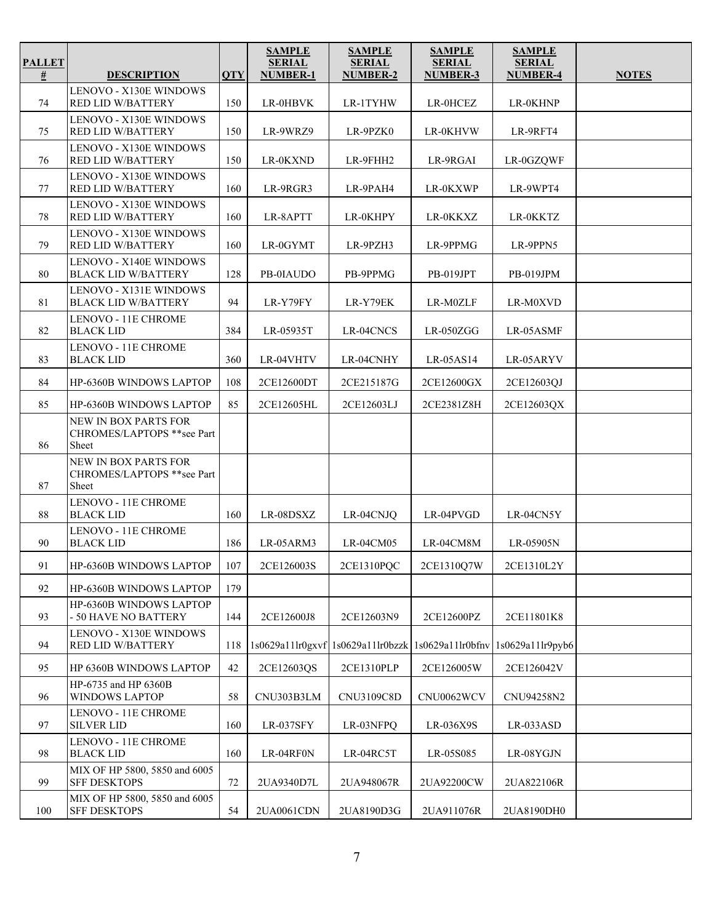| <b>PALLET</b><br>$\overline{\underline{\textbf{\#}}}$ | <b>DESCRIPTION</b>                                          | <b>QTY</b> | <b>SAMPLE</b><br><b>SERIAL</b><br><b>NUMBER-1</b> | <b>SAMPLE</b><br><b>SERIAL</b><br>NUMBER-2             | <b>SAMPLE</b><br><b>SERIAL</b><br><b>NUMBER-3</b> | <b>SAMPLE</b><br><b>SERIAL</b><br><b>NUMBER-4</b> | <b>NOTES</b> |
|-------------------------------------------------------|-------------------------------------------------------------|------------|---------------------------------------------------|--------------------------------------------------------|---------------------------------------------------|---------------------------------------------------|--------------|
| 74                                                    | <b>LENOVO - X130E WINDOWS</b><br>RED LID W/BATTERY          | 150        | LR-0HBVK                                          | LR-1TYHW                                               | LR-0HCEZ                                          | LR-0KHNP                                          |              |
| 75                                                    | LENOVO - X130E WINDOWS<br>RED LID W/BATTERY                 | 150        | LR-9WRZ9                                          | LR-9PZK0                                               | LR-0KHVW                                          | LR-9RFT4                                          |              |
| 76                                                    | LENOVO - X130E WINDOWS<br>RED LID W/BATTERY                 | 150        | LR-0KXND                                          | LR-9FHH2                                               | LR-9RGAI                                          | LR-0GZQWF                                         |              |
| 77                                                    | <b>LENOVO - X130E WINDOWS</b><br>RED LID W/BATTERY          | 160        | LR-9RGR3                                          | LR-9PAH4                                               | LR-0KXWP                                          | LR-9WPT4                                          |              |
| 78                                                    | <b>LENOVO - X130E WINDOWS</b><br>RED LID W/BATTERY          | 160        | LR-8APTT                                          | LR-0KHPY                                               | LR-0KKXZ                                          | LR-0KKTZ                                          |              |
| 79                                                    | LENOVO - X130E WINDOWS<br>RED LID W/BATTERY                 | 160        | LR-0GYMT                                          | LR-9PZH3                                               | LR-9PPMG                                          | LR-9PPN5                                          |              |
| 80                                                    | <b>LENOVO - X140E WINDOWS</b><br><b>BLACK LID W/BATTERY</b> | 128        | PB-0IAUDO                                         | PB-9PPMG                                               | <b>PB-019JPT</b>                                  | PB-019JPM                                         |              |
| 81                                                    | <b>LENOVO - X131E WINDOWS</b><br><b>BLACK LID W/BATTERY</b> | 94         | LR-Y79FY                                          | LR-Y79EK                                               | LR-M0ZLF                                          | LR-M0XVD                                          |              |
| 82                                                    | LENOVO - 11E CHROME<br><b>BLACK LID</b>                     | 384        | LR-05935T                                         | LR-04CNCS                                              | $LR-050ZGG$                                       | LR-05ASMF                                         |              |
| 83                                                    | LENOVO - 11E CHROME<br><b>BLACK LID</b>                     | 360        | LR-04VHTV                                         | LR-04CNHY                                              | LR-05AS14                                         | LR-05ARYV                                         |              |
| 84                                                    | <b>HP-6360B WINDOWS LAPTOP</b>                              | 108        | 2CE12600DT                                        | 2CE215187G                                             | 2CE12600GX                                        | 2CE12603QJ                                        |              |
| 85                                                    | HP-6360B WINDOWS LAPTOP                                     | 85         | 2CE12605HL                                        | 2CE12603LJ                                             | 2CE2381Z8H                                        | 2CE12603QX                                        |              |
| 86                                                    | NEW IN BOX PARTS FOR<br>CHROMES/LAPTOPS **see Part<br>Sheet |            |                                                   |                                                        |                                                   |                                                   |              |
| 87                                                    | NEW IN BOX PARTS FOR<br>CHROMES/LAPTOPS **see Part<br>Sheet |            |                                                   |                                                        |                                                   |                                                   |              |
| 88                                                    | LENOVO - 11E CHROME<br><b>BLACK LID</b>                     | 160        | LR-08DSXZ                                         | LR-04CNJQ                                              | LR-04PVGD                                         | LR-04CN5Y                                         |              |
| 90                                                    | LENOVO - 11E CHROME<br><b>BLACK LID</b>                     | 186        | LR-05ARM3                                         | LR-04CM05                                              | LR-04CM8M                                         | LR-05905N                                         |              |
| 91                                                    | HP-6360B WINDOWS LAPTOP                                     | 107        | 2CE126003S                                        | 2CE1310PQC                                             | 2CE1310Q7W                                        | 2CE1310L2Y                                        |              |
| 92                                                    | HP-6360B WINDOWS LAPTOP                                     | 179        |                                                   |                                                        |                                                   |                                                   |              |
| 93                                                    | HP-6360B WINDOWS LAPTOP<br>- 50 HAVE NO BATTERY             | 144        | 2CE12600J8                                        | 2CE12603N9                                             | 2CE12600PZ                                        | 2CE11801K8                                        |              |
| 94                                                    | LENOVO - X130E WINDOWS<br>RED LID W/BATTERY                 | 118        |                                                   | 1s0629a11lr0gxvf   1s0629a11lr0bzzk   1s0629a11lr0bfnv |                                                   | 1s0629a11lr9pvb6                                  |              |
| 95                                                    | HP 6360B WINDOWS LAPTOP                                     | 42         | 2CE12603OS                                        | 2CE1310PLP                                             | 2CE126005W                                        | 2CE126042V                                        |              |
| 96                                                    | HP-6735 and HP 6360B<br><b>WINDOWS LAPTOP</b>               | 58         | CNU303B3LM                                        | CNU3109C8D                                             | CNU0062WCV                                        | CNU94258N2                                        |              |
| 97                                                    | LENOVO - 11E CHROME<br><b>SILVER LID</b>                    | 160        | LR-037SFY                                         | LR-03NFPQ                                              | LR-036X9S                                         | LR-033ASD                                         |              |
| 98                                                    | LENOVO - 11E CHROME<br><b>BLACK LID</b>                     | 160        | LR-04RF0N                                         | LR-04RC5T                                              | LR-05S085                                         | LR-08YGJN                                         |              |
| 99                                                    | MIX OF HP 5800, 5850 and 6005<br><b>SFF DESKTOPS</b>        | 72         | 2UA9340D7L                                        | 2UA948067R                                             | 2UA92200CW                                        | 2UA822106R                                        |              |
| 100                                                   | MIX OF HP 5800, 5850 and 6005<br><b>SFF DESKTOPS</b>        | 54         | 2UA0061CDN                                        | 2UA8190D3G                                             | 2UA911076R                                        | 2UA8190DH0                                        |              |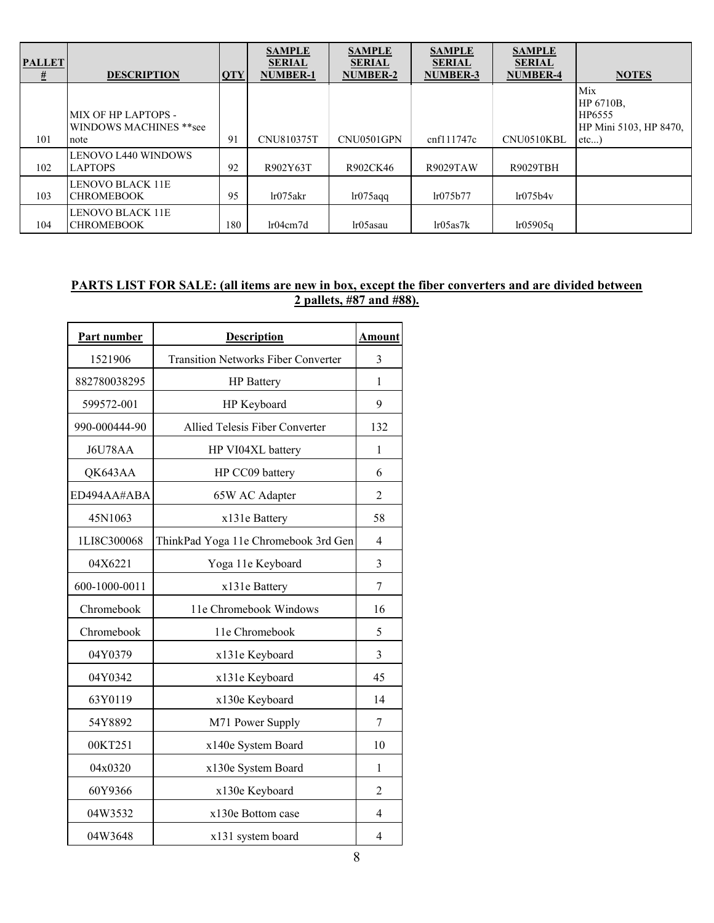| <b>PALLET</b> |                                               |            | <b>SAMPLE</b><br><b>SERIAL</b> | <b>SAMPLE</b><br><b>SERIAL</b> | <b>SAMPLE</b><br><b>SERIAL</b> | <b>SAMPLE</b><br><b>SERIAL</b> |                                                      |
|---------------|-----------------------------------------------|------------|--------------------------------|--------------------------------|--------------------------------|--------------------------------|------------------------------------------------------|
| #             | <b>DESCRIPTION</b>                            | <b>QTY</b> | <b>NUMBER-1</b>                | <b>NUMBER-2</b>                | <b>NUMBER-3</b>                | <b>NUMBER-4</b>                | <b>NOTES</b>                                         |
|               | MIX OF HP LAPTOPS -<br>WINDOWS MACHINES **see |            |                                |                                |                                |                                | Mix<br>HP 6710B.<br>HP6555<br>HP Mini 5103, HP 8470. |
| 101           | note                                          | 91         | CNU810375T                     | CNU0501GPN                     | cnf111747c                     | CNU0510KBL                     | etc                                                  |
| 102           | <b>LENOVO L440 WINDOWS</b><br><b>LAPTOPS</b>  | 92         | R902Y63T                       | R902CK46                       | <b>R9029TAW</b>                | R9029TBH                       |                                                      |
| 103           | LENOVO BLACK 11E<br><b>CHROMEBOOK</b>         | 95         | lr075akr                       | lr075aqq                       | lr075b77                       | lr075b4v                       |                                                      |
| 104           | <b>LENOVO BLACK 11E</b><br><b>CHROMEBOOK</b>  | 180        | lr04cm7d                       | lr05asau                       | lr05a <sub>s</sub> 7k          | lr05905q                       |                                                      |

### **PARTS LIST FOR SALE: (all items are new in box, except the fiber converters and are divided between 2 pallets, #87 and #88).**

| Part number   | <b>Description</b>                         | <u>Amount</u>  |
|---------------|--------------------------------------------|----------------|
| 1521906       | <b>Transition Networks Fiber Converter</b> | 3              |
| 882780038295  | <b>HP</b> Battery                          | 1              |
| 599572-001    | HP Keyboard                                | 9              |
| 990-000444-90 | Allied Telesis Fiber Converter             | 132            |
| J6U78AA       | HP VI04XL battery                          | 1              |
| QK643AA       | HP CC09 battery                            | 6              |
| ED494AA#ABA   | 65W AC Adapter                             | $\overline{2}$ |
| 45N1063       | x131e Battery                              | 58             |
| 1LI8C300068   | ThinkPad Yoga 11e Chromebook 3rd Gen       | 4              |
| 04X6221       | Yoga 11e Keyboard                          | 3              |
| 600-1000-0011 | x131e Battery                              | 7              |
| Chromebook    | 11e Chromebook Windows                     | 16             |
| Chromebook    | 11e Chromebook                             | 5              |
| 04Y0379       | x131e Keyboard                             | 3              |
| 04Y0342       | x131e Keyboard                             | 45             |
| 63Y0119       | x130e Keyboard                             | 14             |
| 54Y8892       | M71 Power Supply                           | 7              |
| 00KT251       | x140e System Board                         | 10             |
| 04x0320       | x130e System Board                         | 1              |
| 60Y9366       | x130e Keyboard                             | $\mathfrak{D}$ |
| 04W3532       | x130e Bottom case                          | $\overline{4}$ |
| 04W3648       | x131 system board                          | 4              |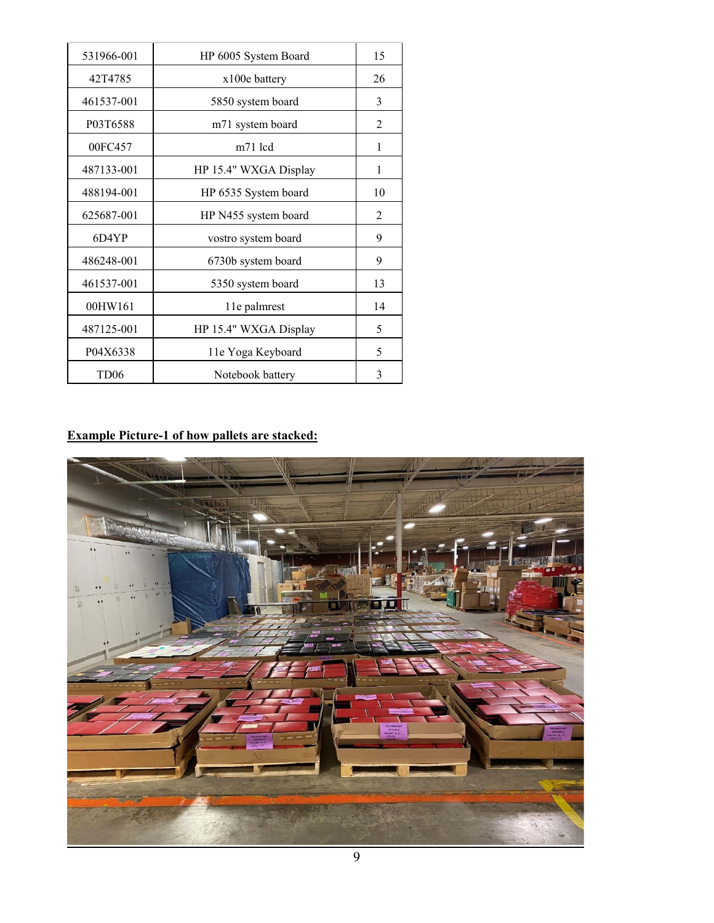| 531966-001       | HP 6005 System Board  | 15             |
|------------------|-----------------------|----------------|
| 42T4785          | x100e battery         | 26             |
| 461537-001       | 5850 system board     | 3              |
| P03T6588         | m71 system board      | $\overline{2}$ |
| 00FC457          | m71 lcd               | 1              |
| 487133-001       | HP 15.4" WXGA Display | 1              |
| 488194-001       | HP 6535 System board  | 10             |
| 625687-001       | HP N455 system board  | $\overline{2}$ |
| 6D4YP            | vostro system board   | 9              |
| 486248-001       | 6730b system board    | 9              |
| 461537-001       | 5350 system board     | 13             |
| 00HW161          | 1 le palmrest         | 14             |
| 487125-001       | HP 15.4" WXGA Display | 5              |
| P04X6338         | 11e Yoga Keyboard     | 5              |
| TD <sub>06</sub> | Notebook battery      | 3              |

# **Example Picture-1 of how pallets are stacked:**

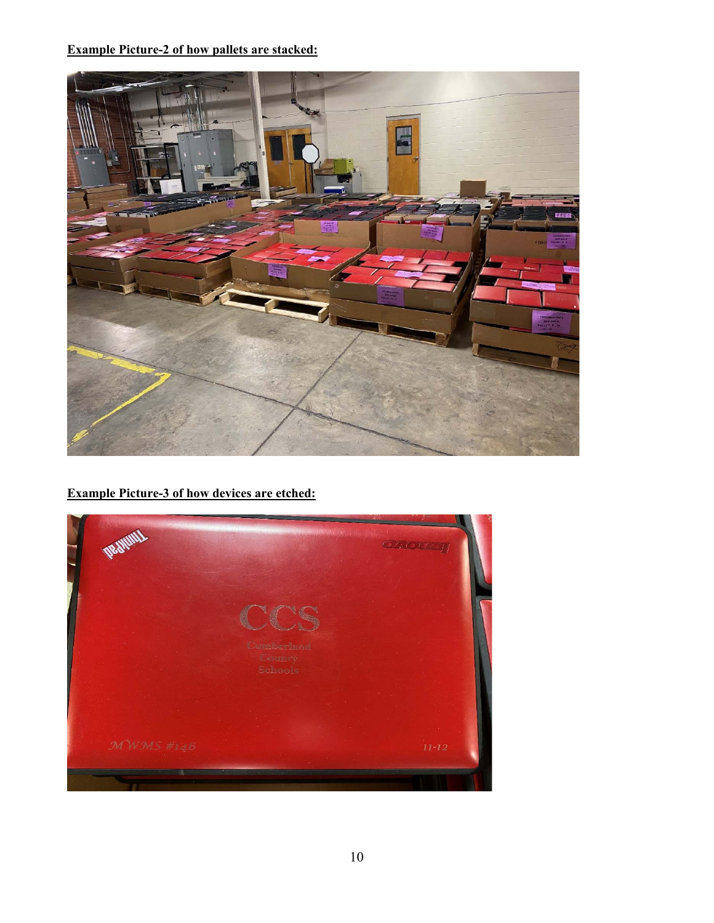### **Example Picture-2 of how pallets are stacked:**



# **Example Picture-3 of how devices are etched:**

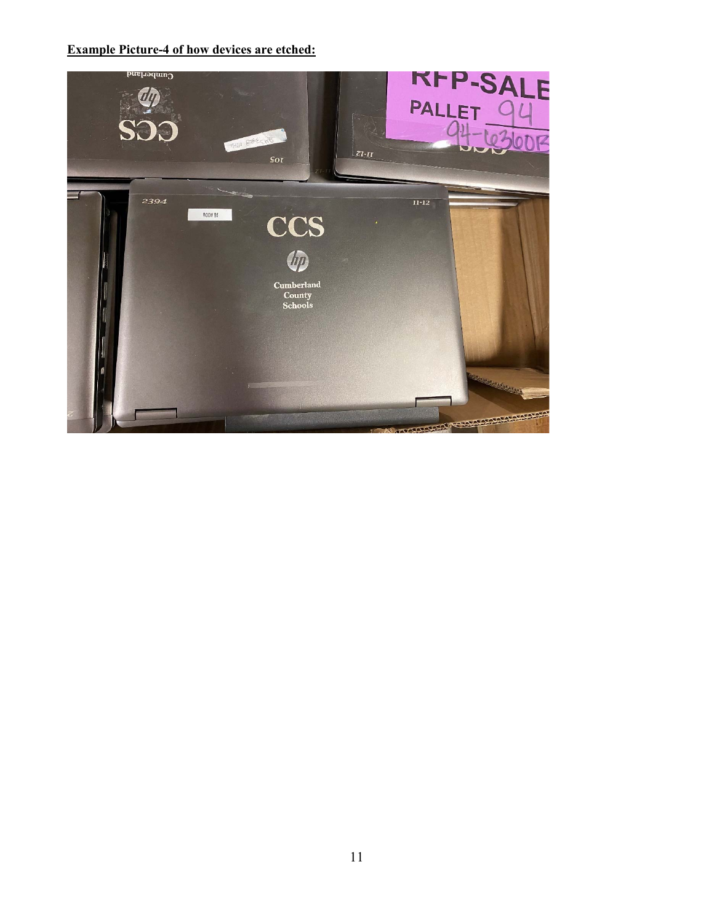### **Example Picture-4 of how devices are etched:**

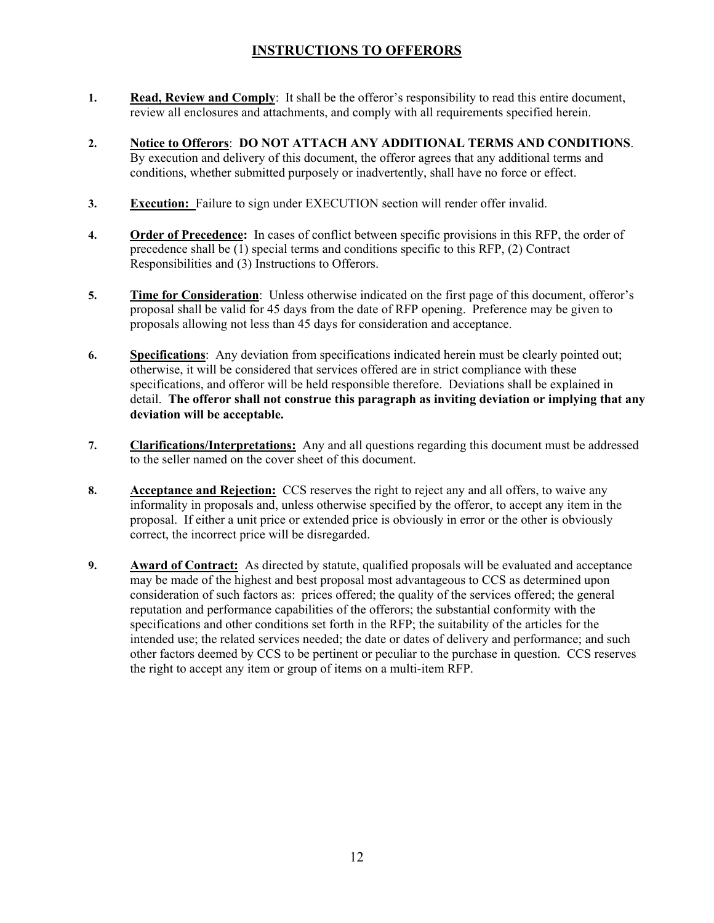# **INSTRUCTIONS TO OFFERORS**

- **1. Read, Review and Comply**: It shall be the offeror's responsibility to read this entire document, review all enclosures and attachments, and comply with all requirements specified herein.
- **2. Notice to Offerors**: **DO NOT ATTACH ANY ADDITIONAL TERMS AND CONDITIONS**. By execution and delivery of this document, the offeror agrees that any additional terms and conditions, whether submitted purposely or inadvertently, shall have no force or effect.
- **3. Execution:** Failure to sign under EXECUTION section will render offer invalid.
- **4. Order of Precedence:** In cases of conflict between specific provisions in this RFP, the order of precedence shall be (1) special terms and conditions specific to this RFP, (2) Contract Responsibilities and (3) Instructions to Offerors.
- **5. Time for Consideration**: Unless otherwise indicated on the first page of this document, offeror's proposal shall be valid for 45 days from the date of RFP opening. Preference may be given to proposals allowing not less than 45 days for consideration and acceptance.
- **6. Specifications**: Any deviation from specifications indicated herein must be clearly pointed out; otherwise, it will be considered that services offered are in strict compliance with these specifications, and offeror will be held responsible therefore. Deviations shall be explained in detail. **The offeror shall not construe this paragraph as inviting deviation or implying that any deviation will be acceptable.**
- **7. Clarifications/Interpretations:** Any and all questions regarding this document must be addressed to the seller named on the cover sheet of this document.
- **8. Acceptance and Rejection:** CCS reserves the right to reject any and all offers, to waive any informality in proposals and, unless otherwise specified by the offeror, to accept any item in the proposal. If either a unit price or extended price is obviously in error or the other is obviously correct, the incorrect price will be disregarded.
- **9. Award of Contract:** As directed by statute, qualified proposals will be evaluated and acceptance may be made of the highest and best proposal most advantageous to CCS as determined upon consideration of such factors as: prices offered; the quality of the services offered; the general reputation and performance capabilities of the offerors; the substantial conformity with the specifications and other conditions set forth in the RFP; the suitability of the articles for the intended use; the related services needed; the date or dates of delivery and performance; and such other factors deemed by CCS to be pertinent or peculiar to the purchase in question. CCS reserves the right to accept any item or group of items on a multi-item RFP.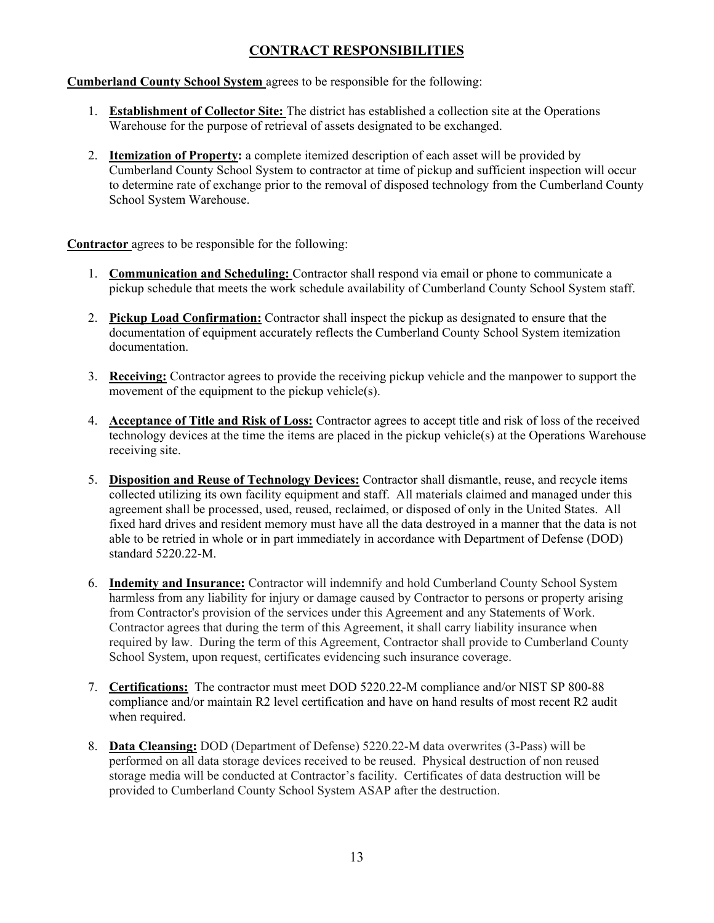# **CONTRACT RESPONSIBILITIES**

**Cumberland County School System** agrees to be responsible for the following:

- 1. **Establishment of Collector Site:** The district has established a collection site at the Operations Warehouse for the purpose of retrieval of assets designated to be exchanged.
- 2. **Itemization of Property:** a complete itemized description of each asset will be provided by Cumberland County School System to contractor at time of pickup and sufficient inspection will occur to determine rate of exchange prior to the removal of disposed technology from the Cumberland County School System Warehouse.

**Contractor** agrees to be responsible for the following:

- 1. **Communication and Scheduling:** Contractor shall respond via email or phone to communicate a pickup schedule that meets the work schedule availability of Cumberland County School System staff.
- 2. **Pickup Load Confirmation:** Contractor shall inspect the pickup as designated to ensure that the documentation of equipment accurately reflects the Cumberland County School System itemization documentation.
- 3. **Receiving:** Contractor agrees to provide the receiving pickup vehicle and the manpower to support the movement of the equipment to the pickup vehicle(s).
- 4. **Acceptance of Title and Risk of Loss:** Contractor agrees to accept title and risk of loss of the received technology devices at the time the items are placed in the pickup vehicle(s) at the Operations Warehouse receiving site.
- 5. **Disposition and Reuse of Technology Devices:** Contractor shall dismantle, reuse, and recycle items collected utilizing its own facility equipment and staff. All materials claimed and managed under this agreement shall be processed, used, reused, reclaimed, or disposed of only in the United States. All fixed hard drives and resident memory must have all the data destroyed in a manner that the data is not able to be retried in whole or in part immediately in accordance with Department of Defense (DOD) standard 5220.22-M.
- 6. **Indemity and Insurance:** Contractor will indemnify and hold Cumberland County School System harmless from any liability for injury or damage caused by Contractor to persons or property arising from Contractor's provision of the services under this Agreement and any Statements of Work. Contractor agrees that during the term of this Agreement, it shall carry liability insurance when required by law. During the term of this Agreement, Contractor shall provide to Cumberland County School System, upon request, certificates evidencing such insurance coverage.
- 7. **Certifications:** The contractor must meet DOD 5220.22-M compliance and/or NIST SP 800-88 compliance and/or maintain R2 level certification and have on hand results of most recent R2 audit when required.
- 8. **Data Cleansing:** DOD (Department of Defense) 5220.22-M data overwrites (3-Pass) will be performed on all data storage devices received to be reused. Physical destruction of non reused storage media will be conducted at Contractor's facility. Certificates of data destruction will be provided to Cumberland County School System ASAP after the destruction.